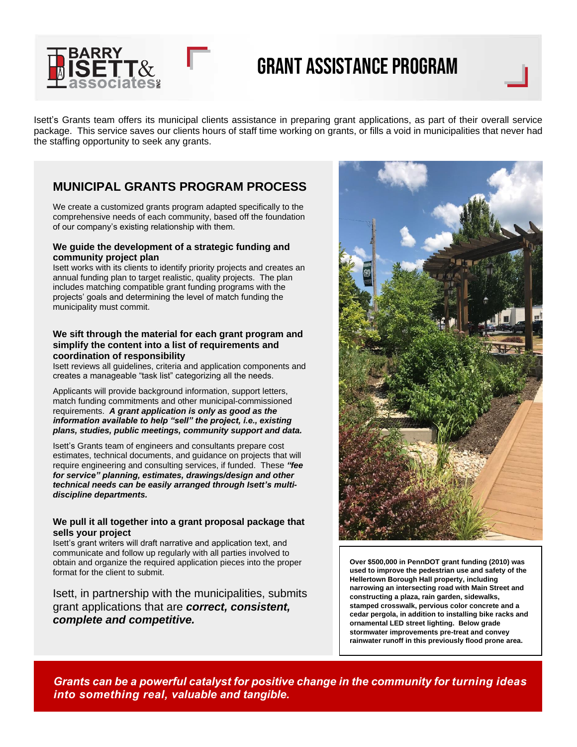

# Grant Assistance Program

Isett's Grants team offers its municipal clients assistance in preparing grant applications, as part of their overall service package. This service saves our clients hours of staff time working on grants, or fills a void in municipalities that never had the staffing opportunity to seek any grants.

## **MUNICIPAL GRANTS PROGRAM PROCESS**

We create a customized grants program adapted specifically to the comprehensive needs of each community, based off the foundation of our company's existing relationship with them.

#### **We guide the development of a strategic funding and community project plan**

Isett works with its clients to identify priority projects and creates an annual funding plan to target realistic, quality projects. The plan includes matching compatible grant funding programs with the projects' goals and determining the level of match funding the municipality must commit.

#### **We sift through the material for each grant program and simplify the content into a list of requirements and coordination of responsibility**

Isett reviews all guidelines, criteria and application components and creates a manageable "task list" categorizing all the needs.

Applicants will provide background information, support letters, match funding commitments and other municipal-commissioned requirements. *A grant application is only as good as the information available to help "sell" the project, i.e., existing plans, studies, public meetings, community support and data.*

Isett's Grants team of engineers and consultants prepare cost estimates, technical documents, and guidance on projects that will require engineering and consulting services, if funded. These *"fee for service" planning, estimates, drawings/design and other technical needs can be easily arranged through Isett's multidiscipline departments.*

#### **We pull it all together into a grant proposal package that sells your project**

Isett's grant writers will draft narrative and application text, and communicate and follow up regularly with all parties involved to obtain and organize the required application pieces into the proper format for the client to submit.

Isett, in partnership with the municipalities, submits grant applications that are *correct, consistent, complete and competitive.*



**Over \$500,000 in PennDOT grant funding (2010) was used to improve the pedestrian use and safety of the Hellertown Borough Hall property, including narrowing an intersecting road with Main Street and constructing a plaza, rain garden, sidewalks, stamped crosswalk, pervious color concrete and a cedar pergola, in addition to installing bike racks and ornamental LED street lighting. Below grade stormwater improvements pre-treat and convey rainwater runoff in this previously flood prone area.**

*Grants can be a powerful catalyst for positive change in the community for turning ideas into something real, valuable and tangible.*